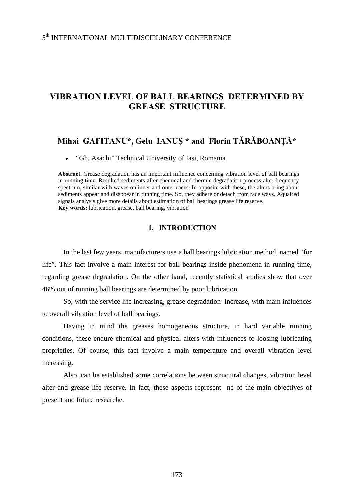# **VIBRATION LEVEL OF BALL BEARINGS DETERMINED BY GREASE STRUCTURE**

## **Mihai GAFITANU\*, Gelu IANUŞ \* and Florin TĂRĂBOANŢĂ\***

• "Gh. Asachi" Technical University of Iasi, Romania

**Abstract.** Grease degradation has an important influence concerning vibration level of ball bearings in running time. Resulted sediments after chemical and thermic degradation process alter frequency spectrum, similar with waves on inner and outer races. In opposite with these, the alters bring about sediments appear and disappear in running time. So, they adhere or detach from race ways. Aquaired signals analysis give more details about estimation of ball bearings grease life reserve. **Key words:** lubrication, grease, ball bearing, vibration

### **1. INTRODUCTION**

In the last few years, manufacturers use a ball bearings lubrication method, named "for life". This fact involve a main interest for ball bearings inside phenomena in running time, regarding grease degradation. On the other hand, recently statistical studies show that over 46% out of running ball bearings are determined by poor lubrication.

So, with the service life increasing, grease degradation increase, with main influences to overall vibration level of ball bearings.

Having in mind the greases homogeneous structure, in hard variable running conditions, these endure chemical and physical alters with influences to loosing lubricating proprieties. Of course, this fact involve a main temperature and overall vibration level increasing.

Also, can be established some correlations between structural changes, vibration level alter and grease life reserve. In fact, these aspects represent ne of the main objectives of present and future researche.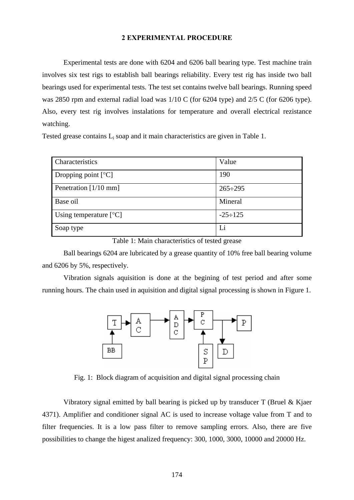#### **2 EXPERIMENTAL PROCEDURE**

Experimental tests are done with 6204 and 6206 ball bearing type. Test machine train involves six test rigs to establish ball bearings reliability. Every test rig has inside two ball bearings used for experimental tests. The test set contains twelve ball bearings. Running speed was 2850 rpm and external radial load was 1/10 C (for 6204 type) and 2/5 C (for 6206 type). Also, every test rig involves instalations for temperature and overall electrical rezistance watching.

Tested grease contains  $L_i$  soap and it main characteristics are given in Table 1.

| Characteristics          | Value          |
|--------------------------|----------------|
| Dropping point $[°C]$    | 190            |
| Penetration [1/10 mm]    | $265 \div 295$ |
| Base oil                 | Mineral        |
| Using temperature $[°C]$ | $-25 \div 125$ |
| Soap type                | Li             |

Table 1: Main characteristics of tested grease

Ball bearings 6204 are lubricated by a grease quantity of 10% free ball bearing volume and 6206 by 5%, respectively.

Vibration signals aquisition is done at the begining of test period and after some running hours. The chain used in aquisition and digital signal processing is shown in Figure 1.



Fig. 1: Block diagram of acquisition and digital signal processing chain

Vibratory signal emitted by ball bearing is picked up by transducer T (Bruel & Kjaer 4371). Amplifier and conditioner signal AC is used to increase voltage value from T and to filter frequencies. It is a low pass filter to remove sampling errors. Also, there are five possibilities to change the higest analized frequency: 300, 1000, 3000, 10000 and 20000 Hz.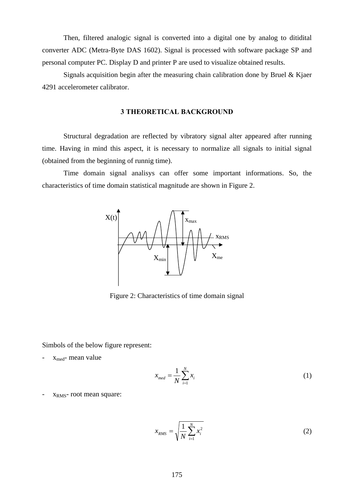Then, filtered analogic signal is converted into a digital one by analog to ditidital converter ADC (Metra-Byte DAS 1602). Signal is processed with software package SP and personal computer PC. Display D and printer P are used to visualize obtained results.

Signals acquisition begin after the measuring chain calibration done by Bruel & Kjaer 4291 accelerometer calibrator.

#### **3 THEORETICAL BACKGROUND**

Structural degradation are reflected by vibratory signal alter appeared after running time. Having in mind this aspect, it is necessary to normalize all signals to initial signal (obtained from the beginning of runnig time).

Time domain signal analisys can offer some important informations. So, the characteristics of time domain statistical magnitude are shown in Figure 2.



Figure 2: Characteristics of time domain signal

Simbols of the below figure represent:

 $x_{med}$ - mean value

$$
x_{med} = \frac{1}{N} \sum_{i=1}^{N} x_i
$$
 (1)

X<sub>RMS</sub>- root mean square:

$$
x_{RMS} = \sqrt{\frac{1}{N} \sum_{i=1}^{N} x_i^2}
$$
 (2)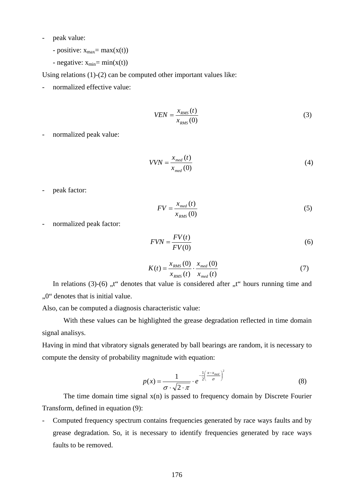- peak value:
	- positive:  $x_{max} = max(x(t))$
	- negative:  $x_{min} = min(x(t))$

Using relations (1)-(2) can be computed other important values like:

- normalized effective value:

$$
VEN = \frac{x_{RMS}(t)}{x_{RMS}(0)}\tag{3}
$$

- normalized peak value:

$$
VVN = \frac{x_{med}(t)}{x_{med}(0)}\tag{4}
$$

- peak factor:

$$
FV = \frac{x_{med}(t)}{x_{RMS}(0)}\tag{5}
$$

normalized peak factor:

$$
FVN = \frac{FV(t)}{FV(0)}\tag{6}
$$

$$
K(t) = \frac{x_{RMS}(0)}{x_{RMS}(t)} \cdot \frac{x_{med}(0)}{x_{med}(t)}
$$
(7)

In relations  $(3)-(6)$ , t" denotes that value is considered after  $, t$ " hours running time and ,,0" denotes that is initial value.

Also, can be computed a diagnosis characteristic value:

With these values can be highlighted the grease degradation reflected in time domain signal analisys.

Having in mind that vibratory signals generated by ball bearings are random, it is necessary to compute the density of probability magnitude with equation:

$$
p(x) = \frac{1}{\sigma \cdot \sqrt{2 \cdot \pi}} \cdot e^{-\frac{1}{2} \left(\frac{x - x_{\text{med}}}{\sigma}\right)^2}
$$
(8)

The time domain time signal  $x(n)$  is passed to frequency domain by Discrete Fourier Transform, defined in equation (9):

- Computed frequency spectrum contains frequencies generated by race ways faults and by grease degradation. So, it is necessary to identify frequencies generated by race ways faults to be removed.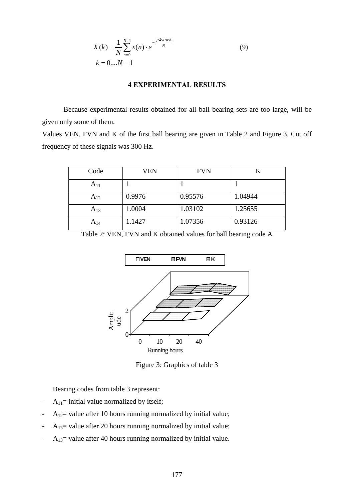$$
X(k) = \frac{1}{N} \sum_{n=0}^{N-1} x(n) \cdot e^{-\frac{j \cdot 2 \cdot \pi \cdot n \cdot k}{N}}
$$
(9)  

$$
k = 0...N - 1
$$

#### **4 EXPERIMENTAL RESULTS**

Because experimental results obtained for all ball bearing sets are too large, will be given only some of them.

Values VEN, FVN and K of the first ball bearing are given in Table 2 and Figure 3. Cut off frequency of these signals was 300 Hz.

| Code     | VEN    | <b>FVN</b> |         |
|----------|--------|------------|---------|
| $A_{11}$ |        |            |         |
| $A_{12}$ | 0.9976 | 0.95576    | 1.04944 |
| $A_{13}$ | 1.0004 | 1.03102    | 1.25655 |
| $A_{14}$ | .1427  | 1.07356    | 0.93126 |

Table 2: VEN, FVN and K obtained values for ball bearing code A



Figure 3: Graphics of table 3

Bearing codes from table 3 represent:

- $A_{11}$ = initial value normalized by itself;
- $A_{12}$  value after 10 hours running normalized by initial value;
- $A_{13}$  value after 20 hours running normalized by initial value;
- $A_{13}$  value after 40 hours running normalized by initial value.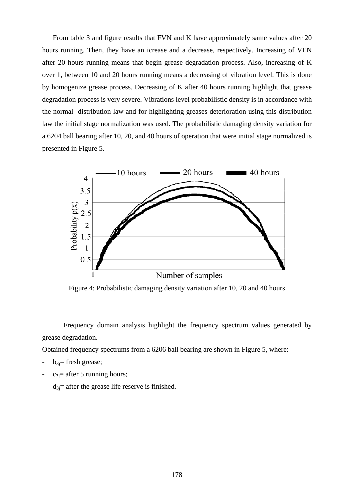From table 3 and figure results that FVN and K have approximately same values after 20 hours running. Then, they have an icrease and a decrease, respectively. Increasing of VEN after 20 hours running means that begin grease degradation process. Also, increasing of K over 1, between 10 and 20 hours running means a decreasing of vibration level. This is done by homogenize grease process. Decreasing of K after 40 hours running highlight that grease degradation process is very severe. Vibrations level probabilistic density is in accordance with the normal distribution law and for highlighting greases deterioration using this distribution law the initial stage normalization was used. The probabilistic damaging density variation for a 6204 ball bearing after 10, 20, and 40 hours of operation that were initial stage normalized is presented in Figure 5.



Figure 4: Probabilistic damaging density variation after 10, 20 and 40 hours

Frequency domain analysis highlight the frequency spectrum values generated by grease degradation.

Obtained frequency spectrums from a 6206 ball bearing are shown in Figure 5, where:

- $b_{3i}$ = fresh grease;
- $c_{3}$ = after 5 running hours;
- $d_{3}$ = after the grease life reserve is finished.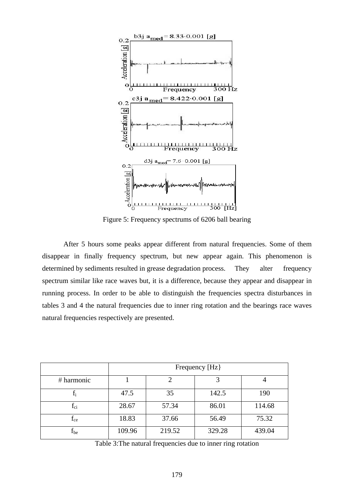

Figure 5: Frequency spectrums of 6206 ball bearing

After 5 hours some peaks appear different from natural frequencies. Some of them disappear in finally frequency spectrum, but new appear again. This phenomenon is determined by sediments resulted in grease degradation process. They alter frequency spectrum similar like race waves but, it is a difference, because they appear and disappear in running process. In order to be able to distinguish the frequencies spectra disturbances in tables 3 and 4 the natural frequencies due to inner ring rotation and the bearings race waves natural frequencies respectively are presented.

|              | Frequency [Hz] |        |        |        |  |
|--------------|----------------|--------|--------|--------|--|
| # harmonic   |                |        |        |        |  |
|              | 47.5           | 35     | 142.5  | 190    |  |
| $f_{\rm ci}$ | 28.67          | 57.34  | 86.01  | 114.68 |  |
| $\rm f_{ce}$ | 18.83          | 37.66  | 56.49  | 75.32  |  |
| $\rm I_{be}$ | 109.96         | 219.52 | 329.28 | 439.04 |  |

Table 3:The natural frequencies due to inner ring rotation